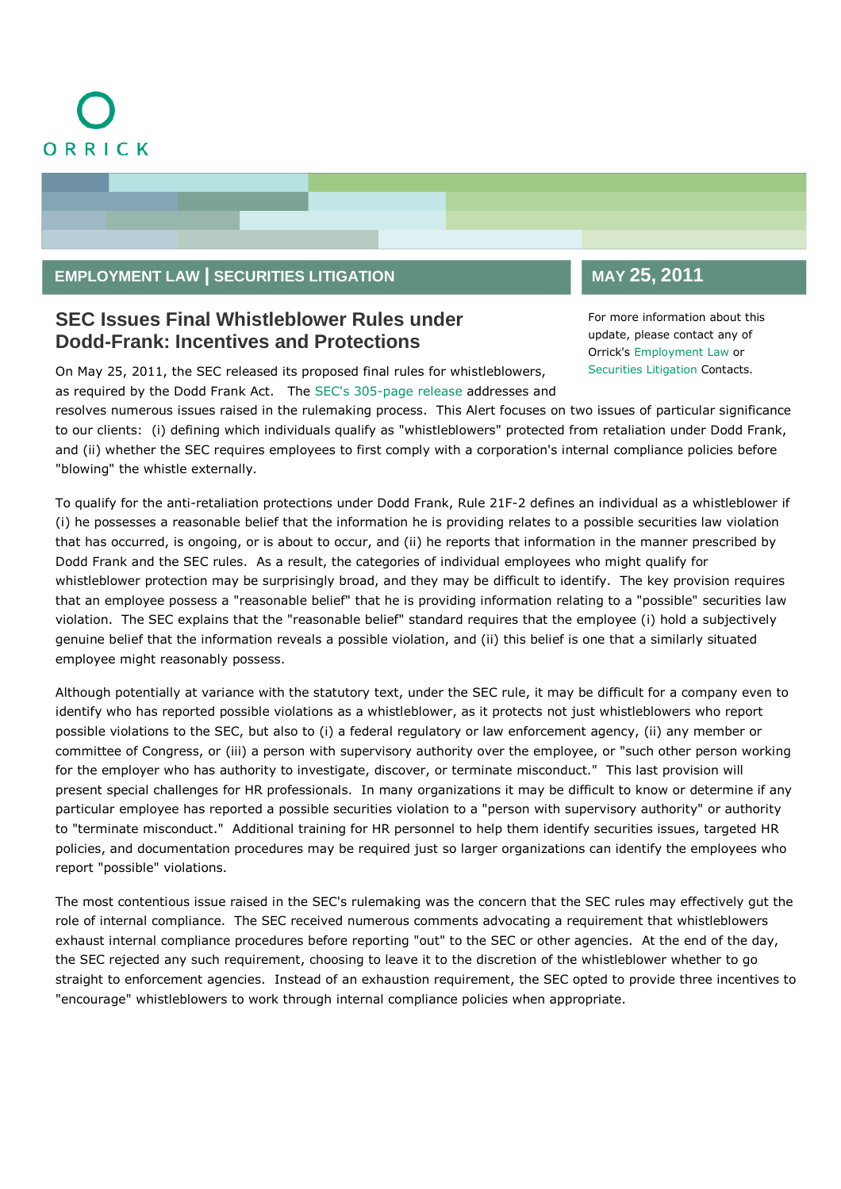## **EMPLOYMENT LAW | SECURITIES LITIGATION**

## **SEC Issues Final Whistleblower Rules under Dodd-Frank: Incentives and Protections**

On May 25, 2011, the SEC released its proposed final rules for whistleblowers, as required by the Dodd Frank Act. The [SEC's 305-page release](http://www.sec.gov/news/press/2011/2011-116.htm) addresses and

## **MAY 25, 2011**

For more information about this update, please contact any of Orrick's [Employment Law](http://www.orrick.com/lawyers/PracticesContacts.asp?ID=EMP_LAW) or [Securities Litigation](http://www.orrick.com/practices/securities_litigation/lawyers.asp) Contacts.

resolves numerous issues raised in the rulemaking process. This Alert focuses on two issues of particular significance to our clients: (i) defining which individuals qualify as "whistleblowers" protected from retaliation under Dodd Frank, and (ii) whether the SEC requires employees to first comply with a corporation's internal compliance policies before "blowing" the whistle externally.

To qualify for the anti-retaliation protections under Dodd Frank, Rule 21F-2 defines an individual as a whistleblower if (i) he possesses a reasonable belief that the information he is providing relates to a possible securities law violation that has occurred, is ongoing, or is about to occur, and (ii) he reports that information in the manner prescribed by Dodd Frank and the SEC rules. As a result, the categories of individual employees who might qualify for whistleblower protection may be surprisingly broad, and they may be difficult to identify. The key provision requires that an employee possess a "reasonable belief" that he is providing information relating to a "possible" securities law violation. The SEC explains that the "reasonable belief" standard requires that the employee (i) hold a subjectively genuine belief that the information reveals a possible violation, and (ii) this belief is one that a similarly situated employee might reasonably possess.

Although potentially at variance with the statutory text, under the SEC rule, it may be difficult for a company even to identify who has reported possible violations as a whistleblower, as it protects not just whistleblowers who report possible violations to the SEC, but also to (i) a federal regulatory or law enforcement agency, (ii) any member or committee of Congress, or (iii) a person with supervisory authority over the employee, or "such other person working for the employer who has authority to investigate, discover, or terminate misconduct." This last provision will present special challenges for HR professionals. In many organizations it may be difficult to know or determine if any particular employee has reported a possible securities violation to a "person with supervisory authority" or authority to "terminate misconduct." Additional training for HR personnel to help them identify securities issues, targeted HR policies, and documentation procedures may be required just so larger organizations can identify the employees who report "possible" violations.

The most contentious issue raised in the SEC's rulemaking was the concern that the SEC rules may effectively gut the role of internal compliance. The SEC received numerous comments advocating a requirement that whistleblowers exhaust internal compliance procedures before reporting "out" to the SEC or other agencies. At the end of the day, the SEC rejected any such requirement, choosing to leave it to the discretion of the whistleblower whether to go straight to enforcement agencies. Instead of an exhaustion requirement, the SEC opted to provide three incentives to "encourage" whistleblowers to work through internal compliance policies when appropriate.